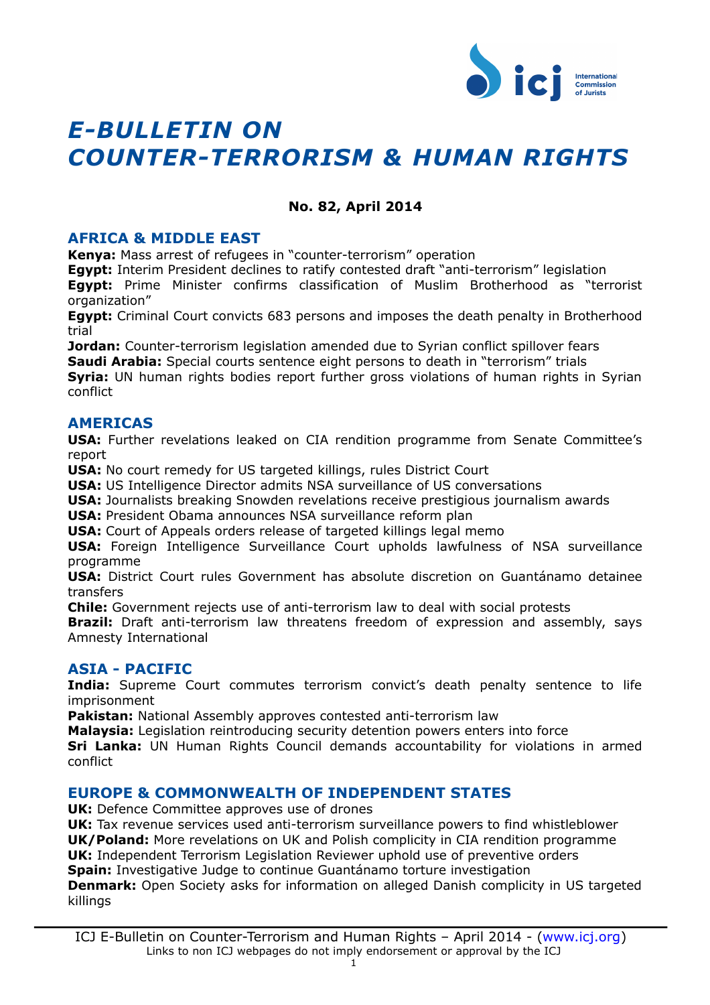

# *E-BULLETIN ON COUNTER-TERRORISM & HUMAN RIGHTS*

# **No. 82, April 2014**

# **AFRICA & MIDDLE EAST**

**[Kenya:](#page-2-2)** [Mass arrest of refugees in "counter-terrorism" operation](#page-2-2)

**[Egypt:](#page-2-1)** [Interim President declines to ratify contested draft "anti-terrorism" legislation](#page-2-1)

**[Egypt:](#page-2-0)** [Prime Minister confirms classification of Muslim Brotherhood as "terrorist](#page-2-0) [organization"](#page-2-0)

**[Egypt:](#page-3-3)** [Criminal Court convicts 683 persons and imposes the death penalty in Brotherhood](#page-3-3) [trial](#page-3-3)

**Jordan:** [Counter-terrorism legislation amended due to Syrian conflict spillover fears](#page-3-2)

**[Saudi Arabia:](#page-3-1)** [Special courts sentence eight persons to death in "terrorism" trials](#page-3-1)

**[Syria:](#page-3-0)** [UN human rights bodies report further gross violations of human rights in Syrian](#page-3-0) [conflict](#page-3-0)

# **AMERICAS**

**[USA:](#page-4-2)** [Further revelations leaked on CIA rendition programme from Senate Committee's](#page-4-2) [report](#page-4-2)

**[USA:](#page-4-1)** [No court remedy for US targeted killings, rules District Court](#page-4-1)

**[USA:](#page-4-0)** [US Intelligence Director admits NSA surveillance of US conversations](#page-4-0)

**[USA:](#page-5-3)** [Journalists breaking Snowden revelations receive prestigious journalism awards](#page-5-3)

**[USA:](#page-5-2)** [President Obama announces NSA surveillance reform plan](#page-5-2)

**[USA:](#page-5-1)** [Court of Appeals orders release of targeted killings legal memo](#page-5-1)

**[USA:](#page-5-0)** [Foreign Intelligence Surveillance Court upholds lawfulness of NSA surveillance](#page-5-0) [programme](#page-5-0)

**[USA:](#page-6-2)** [District Court rules Government has absolute discretion on Guantánamo detainee](#page-6-2) [transfers](#page-6-2)

**[Chile:](#page-6-1)** [Government rejects use of anti-terrorism law to deal with social protests](#page-6-1)

**[Brazil:](#page-6-0)** [Draft anti-terrorism law threatens freedom of expression and assembly, says](#page-6-0) [Amnesty International](#page-6-0)

# **ASIA - PACIFIC**

**[India:](#page-7-3)** [Supreme Court commutes terrorism convict's death penalty sentence to life](#page-7-3) [imprisonment](#page-7-3)

**[Pakistan:](#page-7-2)** [National Assembly approves contested anti-terrorism law](#page-7-2)

**[Malaysia:](#page-7-1)** [Legislation reintroducing security detention powers enters into force](#page-7-1)

**[Sri Lanka:](#page-7-0)** [UN Human Rights Council demands accountability for violations in armed](#page-7-0) [conflict](#page-7-0)

# **EUROPE & COMMONWEALTH OF INDEPENDENT STATES**

**[UK:](#page-8-2)** [Defence Committee approves use of drones](#page-8-2)

**[UK:](#page-8-1)** [Tax revenue services used anti-terrorism surveillance powers to find whistleblower](#page-8-1) **[UK/Poland:](#page-8-0)** [More revelations on UK and Polish complicity in CIA rendition programme](#page-8-0) **[UK:](#page-9-2)** [Independent Terrorism Legislation Reviewer uphold use of preventive orders](#page-9-2) **[Spain:](#page-9-1)** [Investigative Judge to continue Guantánamo torture investigation](#page-9-1)

**[Denmark:](#page-9-0)** [Open Society asks for information on alleged Danish complicity in US targeted](#page-9-0) [killings](#page-9-0)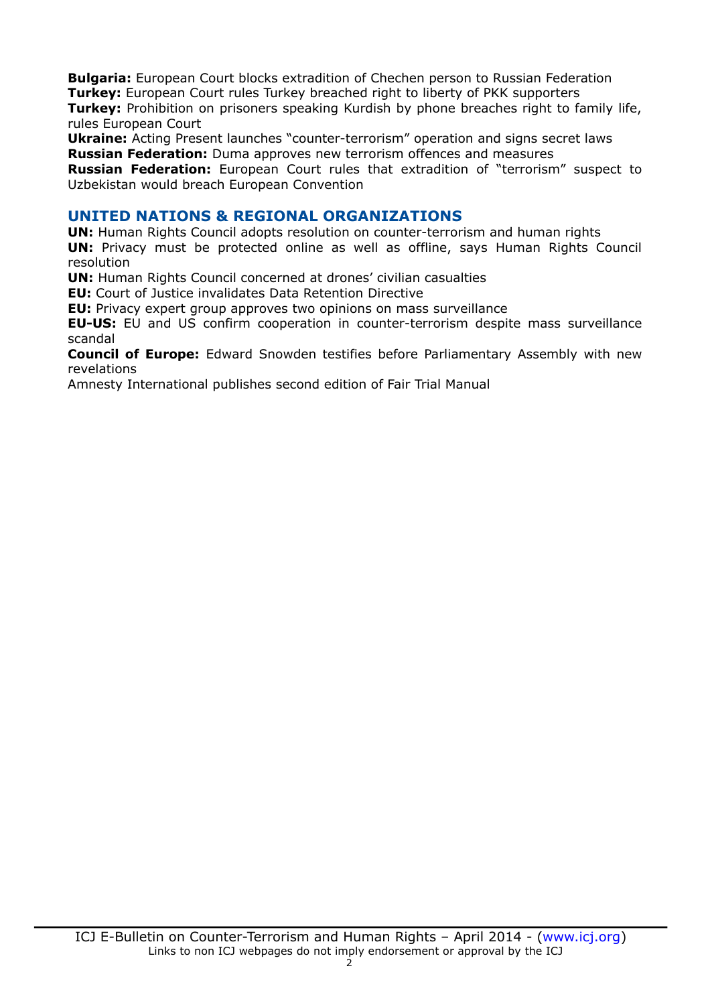**[Bulgaria:](#page-10-2)** [European Court blocks extradition of Chechen person to Russian Federation](#page-10-2) **Turkey:** [European Court rules Turkey breached right to liberty of PKK supporters](#page-10-1) **[Turkey:](#page-10-0)** [Prohibition on prisoners speaking Kurdish by phone breaches right to family life,](#page-10-0) [rules European Court](#page-10-0)

**[Ukraine:](#page-11-3)** [Acting Present launches "counter-terrorism" operation and signs secret laws](#page-11-3) **[Russian Federation:](#page-11-2)** [Duma approves new terrorism offences and measures](#page-11-2)

**[Russian Federation:](#page-11-1)** [European Court rules that extradition of "terrorism" suspect to](#page-11-1) [Uzbekistan would breach European Convention](#page-11-1)

# **UNITED NATIONS & REGIONAL ORGANIZATIONS**

**[UN:](#page-11-0)** [Human Rights Council adopts resolution on counter-terrorism and human rights](#page-11-0) **[UN:](#page-12-3)** [Privacy must be protected online as well as offline, says Human Rights Council](#page-12-3) [resolution](#page-12-3)

**[UN:](#page-12-2)** [Human Rights Council concerned at drones' civilian casualties](#page-12-2)

**[EU:](#page-12-1)** [Court of Justice invalidates Data Retention Directive](#page-12-1)

**[EU:](#page-12-0)** [Privacy expert group approves two opinions on mass surveillance](#page-12-0)

**[EU-US:](#page-13-1)** [EU and US confirm cooperation in counter-terrorism despite mass surveillance](#page-13-1) [scandal](#page-13-1)

**[Council of Europe:](#page-13-0)** [Edward Snowden testifies before Parliamentary Assembly with new](#page-13-0) [revelations](#page-13-0)

[Amnesty International publishes second edition of Fair Trial Manual](#page-14-0)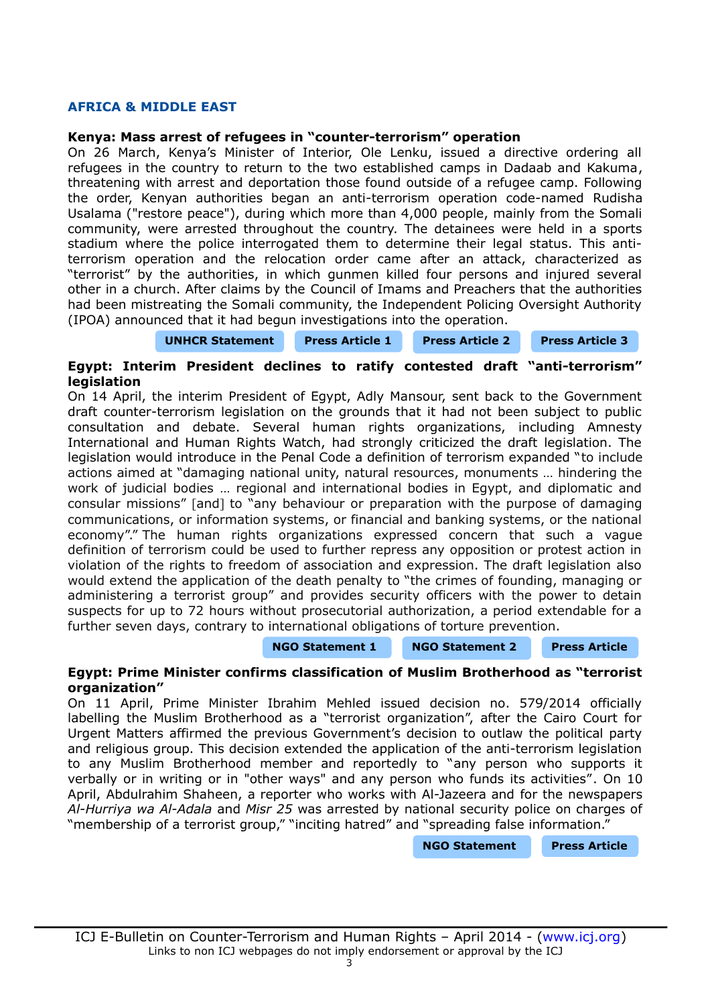# **AFRICA & MIDDLE EAST**

#### <span id="page-2-2"></span>**Kenya: Mass arrest of refugees in "counter-terrorism" operation**

On 26 March, Kenya's Minister of Interior, Ole Lenku, issued a directive ordering all refugees in the country to return to the two established camps in Dadaab and Kakuma, threatening with arrest and deportation those found outside of a refugee camp. Following the order, Kenyan authorities began an anti-terrorism operation code-named Rudisha Usalama ("restore peace"), during which more than 4,000 people, mainly from the Somali community, were arrested throughout the country. The detainees were held in a sports stadium where the police interrogated them to determine their legal status. This antiterrorism operation and the relocation order came after an attack, characterized as "terrorist" by the authorities, in which gunmen killed four persons and injured several other in a church. After claims by the Council of Imams and Preachers that the authorities had been mistreating the Somali community, the Independent Policing Oversight Authority (IPOA) announced that it had begun investigations into the operation.

**[UNHCR Statement](http://www.unhcr.org/5342b35d9.html) [Press Article 1](http://www.bbc.com/news/world-africa-26955803) [Press Article 2](http://www.nation.co.ke/news/Muslim-leaders-against-clampdown/-/1056/2278456/-/s4q2bez/-/index.html) [Press Article 3](http://www.nation.co.ke/news/Muslims-accuse-police-of-terror/-/1056/2281192/-/budcvw/-/index.html)**

# <span id="page-2-1"></span>**Egypt: Interim President declines to ratify contested draft "anti-terrorism" legislation**

On 14 April, the interim President of Egypt, Adly Mansour, sent back to the Government draft counter-terrorism legislation on the grounds that it had not been subject to public consultation and debate. Several human rights organizations, including Amnesty International and Human Rights Watch, had strongly criticized the draft legislation. The legislation would introduce in the Penal Code a definition of terrorism expanded "to include actions aimed at "damaging national unity, natural resources, monuments … hindering the work of judicial bodies … regional and international bodies in Egypt, and diplomatic and consular missions" [and] to "any behaviour or preparation with the purpose of damaging communications, or information systems, or financial and banking systems, or the national economy"." The human rights organizations expressed concern that such a vague definition of terrorism could be used to further repress any opposition or protest action in violation of the rights to freedom of association and expression. The draft legislation also would extend the application of the death penalty to "the crimes of founding, managing or administering a terrorist group" and provides security officers with the power to detain suspects for up to 72 hours without prosecutorial authorization, a period extendable for a further seven days, contrary to international obligations of torture prevention.

#### **[NGO Statement 1](http://www.amnesty.org/en/for-media/press-releases/egyptian-president-must-reject-flawed-anti-terrorism-laws-2014-04-11) [NGO Statement 2](http://www.hrw.org/news/2014/04/27/egypt-revise-terrorism-laws-safeguard-rights) [Press Article](http://english.ahram.org.eg/NewsContent/1/64/99024/Egypt/Politics-/Egypts-interim-president-calls-for-public-dialogue.aspx)**

## <span id="page-2-0"></span>**Egypt: Prime Minister confirms classification of Muslim Brotherhood as "terrorist organization"**

On 11 April, Prime Minister Ibrahim Mehled issued decision no. 579/2014 officially labelling the Muslim Brotherhood as a "terrorist organization", after the Cairo Court for Urgent Matters affirmed the previous Government's decision to outlaw the political party and religious group. This decision extended the application of the anti-terrorism legislation to any Muslim Brotherhood member and reportedly to "any person who supports it verbally or in writing or in "other ways" and any person who funds its activities". On 10 April, Abdulrahim Shaheen, a reporter who works with Al-Jazeera and for the newspapers *Al-Hurriya wa Al-Adala* and *Misr 25* was arrested by national security police on charges of "membership of a terrorist group," "inciting hatred" and "spreading false information."

**[NGO Statement](http://en.rsf.org/egypt-another-al-jazeera-reporter-11-04-2014,46134.html) [Press Article](http://allafrica.com/stories/201404141801.html)**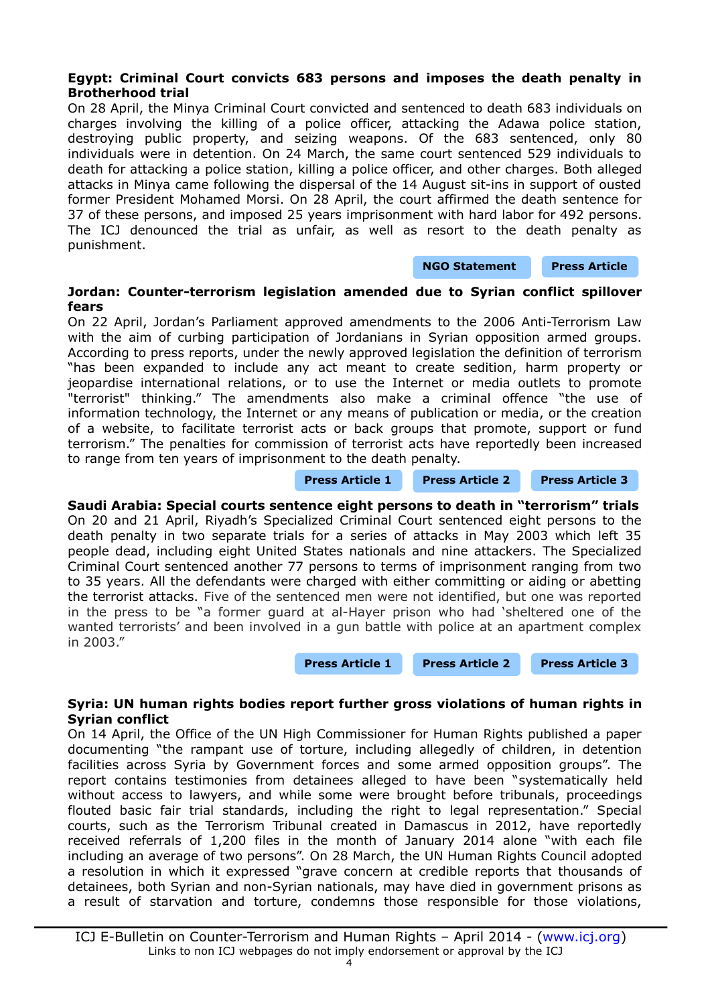# <span id="page-3-3"></span>**Egypt: Criminal Court convicts 683 persons and imposes the death penalty in Brotherhood trial**

On 28 April, the Minya Criminal Court convicted and sentenced to death 683 individuals on charges involving the killing of a police officer, attacking the Adawa police station, destroying public property, and seizing weapons. Of the 683 sentenced, only 80 individuals were in detention. On 24 March, the same court sentenced 529 individuals to death for attacking a police station, killing a police officer, and other charges. Both alleged attacks in Minya came following the dispersal of the 14 August sit-ins in support of ousted former President Mohamed Morsi. On 28 April, the court affirmed the death sentence for 37 of these persons, and imposed 25 years imprisonment with hard labor for 492 persons. The ICJ denounced the trial as unfair, as well as resort to the death penalty as punishment.

#### **[NGO Statement](http://www.icj.org/egypt-icj-condemns-further-mass-death-sentences/) [Press Article](http://www.aljazeera.com/news/middleeast/2014/04/egyptian-court-sentences-683-people-death-201442875510336199.html)**

# <span id="page-3-2"></span>**Jordan: Counter-terrorism legislation amended due to Syrian conflict spillover fears**

On 22 April, Jordan's Parliament approved amendments to the 2006 Anti-Terrorism Law with the aim of curbing participation of Jordanians in Syrian opposition armed groups. According to press reports, under the newly approved legislation the definition of terrorism "has been expanded to include any act meant to create sedition, harm property or jeopardise international relations, or to use the Internet or media outlets to promote "terrorist" thinking." The amendments also make a criminal offence "the use of information technology, the Internet or any means of publication or media, or the creation of a website, to facilitate terrorist acts or back groups that promote, support or fund terrorism." The penalties for commission of terrorist acts have reportedly been increased to range from ten years of imprisonment to the death penalty.

**[Press Article 1](http://gulfnews.com/news/region/jordan/jordan-amends-anti-terror-law-over-syria-fallout-1.1323735) [Press Article 2](http://www.albawaba.com/news/jordan-terrorism-571392) [Press Article 3](http://www.aljazeera.com/news/middleeast/2014/04/jordan-anti-terrorism-law-sparks-concern-201442510452221775.html)**

<span id="page-3-1"></span>**Saudi Arabia: Special courts sentence eight persons to death in "terrorism" trials** On 20 and 21 April, Riyadh's Specialized Criminal Court sentenced eight persons to the death penalty in two separate trials for a series of attacks in May 2003 which left 35 people dead, including eight United States nationals and nine attackers. The Specialized Criminal Court sentenced another 77 persons to terms of imprisonment ranging from two to 35 years. All the defendants were charged with either committing or aiding or abetting the terrorist attacks. Five of the sentenced men were not identified, but one was reported in the press to be "a former guard at al-Hayer prison who had 'sheltered one of the wanted terrorists' and been involved in a gun battle with police at an apartment complex in 2003."

**[Press Article 1](http://www.aljazeera.com/news/middleeast/2014/04/saudi-arabia-sentences-qaeda-members-death-201442121567274500.html) [Press Article 2](http://www.bbc.com/news/world-middle-east-27103375) [Press Article 3](http://uk.reuters.com/article/2014/04/21/uk-saudi-trial-idUKBREA3K07020140421)**

# <span id="page-3-0"></span>**Syria: UN human rights bodies report further gross violations of human rights in Syrian conflict**

On 14 April, the Office of the UN High Commissioner for Human Rights published a paper documenting "the rampant use of torture, including allegedly of children, in detention facilities across Syria by Government forces and some armed opposition groups". The report contains testimonies from detainees alleged to have been "systematically held without access to lawyers, and while some were brought before tribunals, proceedings flouted basic fair trial standards, including the right to legal representation." Special courts, such as the Terrorism Tribunal created in Damascus in 2012, have reportedly received referrals of 1,200 files in the month of January 2014 alone "with each file including an average of two persons". On 28 March, the UN Human Rights Council adopted a resolution in which it expressed "grave concern at credible reports that thousands of detainees, both Syrian and non-Syrian nationals, may have died in government prisons as a result of starvation and torture, condemns those responsible for those violations,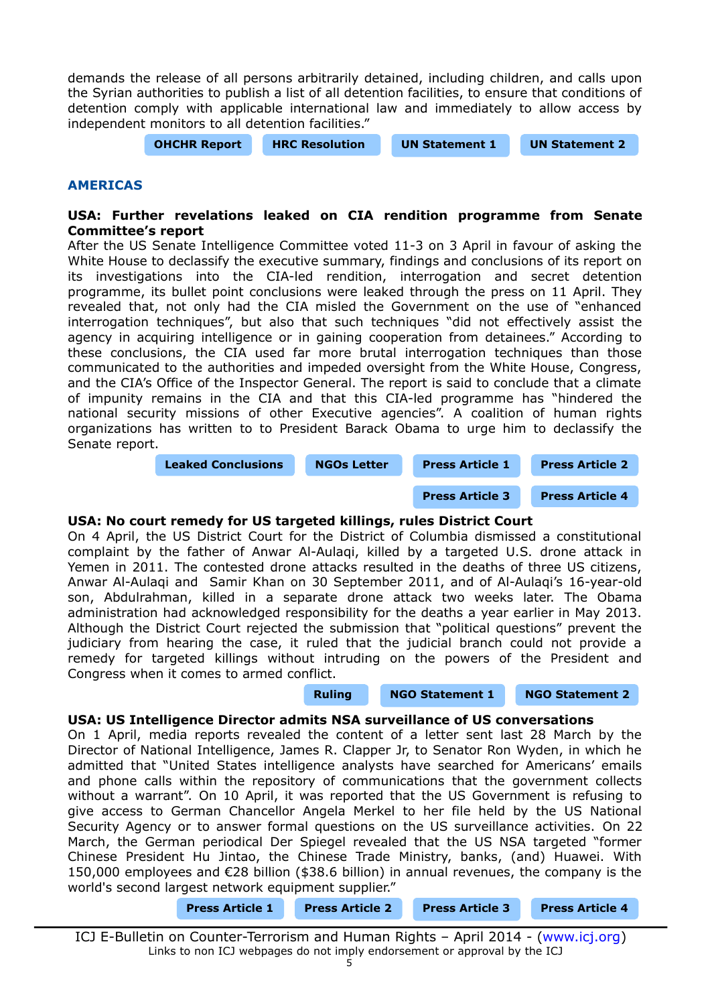demands the release of all persons arbitrarily detained, including children, and calls upon the Syrian authorities to publish a list of all detention facilities, to ensure that conditions of detention comply with applicable international law and immediately to allow access by independent monitors to all detention facilities."

**[OHCHR Report](http://www.ohchr.org/Documents/Countries/SY/PaperOnTorture.pdf) [HRC Resolution](http://www.un.org/ga/search/view_doc.asp?symbol=A/HRC/25/L.7) [UN Statement 1](http://www.unog.ch/unog/website/news_media.nsf/(httpNewsByYear_en)/E124F8EA32C74D77C1257CA90068F353?OpenDocument) [UN Statement 2](http://www.un.org/apps/news/story.asp?NewsID=47574&Cr=Syria&Cr1=#.U06G1RZy4lI)**

#### **AMERICAS**

# <span id="page-4-2"></span>**USA: Further revelations leaked on CIA rendition programme from Senate Committee's report**

After the US Senate Intelligence Committee voted 11-3 on 3 April in favour of asking the White House to declassify the executive summary, findings and conclusions of its report on its investigations into the CIA-led rendition, interrogation and secret detention programme, its bullet point conclusions were leaked through the press on 11 April. They revealed that, not only had the CIA misled the Government on the use of "enhanced interrogation techniques", but also that such techniques "did not effectively assist the agency in acquiring intelligence or in gaining cooperation from detainees." According to these conclusions, the CIA used far more brutal interrogation techniques than those communicated to the authorities and impeded oversight from the White House, Congress, and the CIA's Office of the Inspector General. The report is said to conclude that a climate of impunity remains in the CIA and that this CIA-led programme has "hindered the national security missions of other Executive agencies". A coalition of human rights organizations has written to to President Barack Obama to urge him to declassify the Senate report.



# <span id="page-4-1"></span>**USA: No court remedy for US targeted killings, rules District Court**

On 4 April, the US District Court for the District of Columbia dismissed a constitutional complaint by the father of Anwar Al-Aulaqi, killed by a targeted U.S. drone attack in Yemen in 2011. The contested drone attacks resulted in the deaths of three US citizens, Anwar Al-Aulaqi and Samir Khan on 30 September 2011, and of Al-Aulaqi's 16-year-old son, Abdulrahman, killed in a separate drone attack two weeks later. The Obama administration had acknowledged responsibility for the deaths a year earlier in May 2013. Although the District Court rejected the submission that "political questions" prevent the judiciary from hearing the case, it ruled that the judicial branch could not provide a remedy for targeted killings without intruding on the powers of the President and Congress when it comes to armed conflict.

**[Ruling](https://ecf.dcd.uscourts.gov/cgi-bin/show_public_doc?2012cv1192-36) [NGO Statement 1](https://www.aclu.org/national-security/court-dismisses-lawsuit-challenging-us-drone-killings-three-americans) [NGO Statement 2](http://ccrjustice.org/newsroom/press-releases/court-dismisses-lawsuit-challenging-u.s.-drone-killings-of-three-americans)**

#### <span id="page-4-0"></span>**USA: US Intelligence Director admits NSA surveillance of US conversations**

On 1 April, media reports revealed the content of a letter sent last 28 March by the Director of National Intelligence, James R. Clapper Jr, to Senator Ron Wyden, in which he admitted that "United States intelligence analysts have searched for Americans' emails and phone calls within the repository of communications that the government collects without a warrant". On 10 April, it was reported that the US Government is refusing to give access to German Chancellor Angela Merkel to her file held by the US National Security Agency or to answer formal questions on the US surveillance activities. On 22 March, the German periodical Der Spiegel revealed that the US NSA targeted "former Chinese President Hu Jintao, the Chinese Trade Ministry, banks, (and) Huawei. With 150,000 employees and €28 billion (\$38.6 billion) in annual revenues, the company is the world's second largest network equipment supplier."

ICJ E-Bulletin on Counter-Terrorism and Human Rights – April 2014 - [\(www.icj.org\)](http://www.icj.org/) Links to non ICJ webpages do not imply endorsement or approval by the ICJ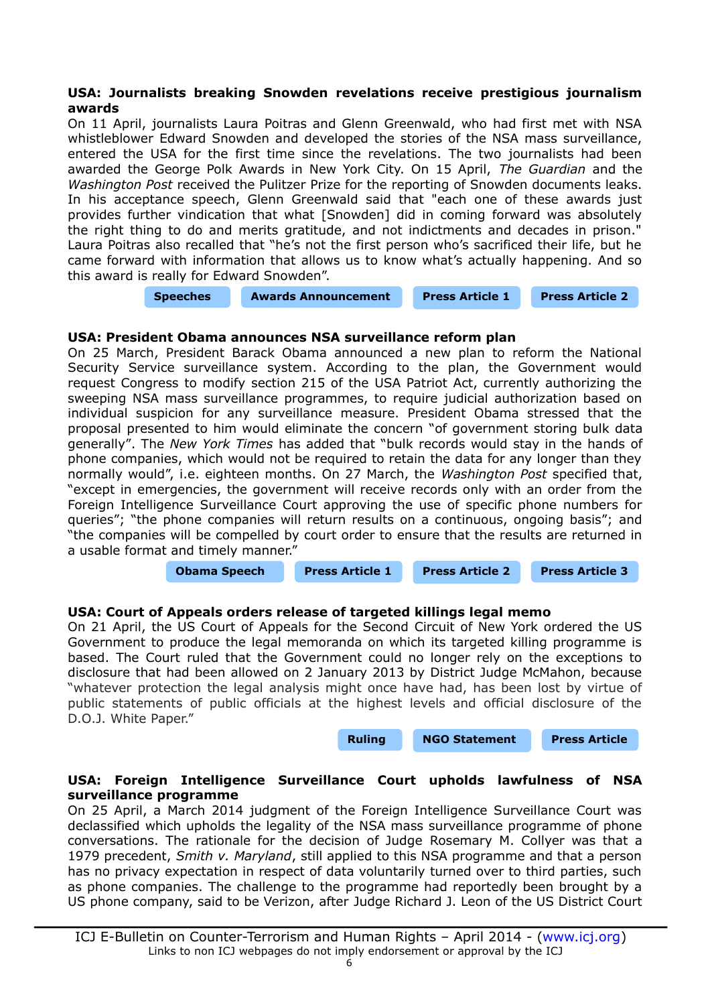# <span id="page-5-3"></span>**USA: Journalists breaking Snowden revelations receive prestigious journalism awards**

On 11 April, journalists Laura Poitras and Glenn Greenwald, who had first met with NSA whistleblower Edward Snowden and developed the stories of the NSA mass surveillance, entered the USA for the first time since the revelations. The two journalists had been awarded the George Polk Awards in New York City. On 15 April, *The Guardian* and the *Washington Post* received the Pulitzer Prize for the reporting of Snowden documents leaks. In his acceptance speech, Glenn Greenwald said that "each one of these awards just provides further vindication that what [Snowden] did in coming forward was absolutely the right thing to do and merits gratitude, and not indictments and decades in prison." Laura Poitras also recalled that "he's not the first person who's sacrificed their life, but he came forward with information that allows us to know what's actually happening. And so this award is really for Edward Snowden".

**[Speeches](http://www.democracynow.org/2014/4/14/this_award_is_for_snowden_glenn) [Awards Announcement](http://www.liu.edu/Brooklyn/About/News/Press-Releases/2014/February/LIU-Announces-2013-George-Polk-Awards-in-Journalism) [Press Article 1](http://news.yahoo.com/wash-post-guardian-share-pulitzer-nsa-coverage-203500529.html) [Press Article 2](http://www.theguardian.com/world/2014/apr/11/journalists-nsa-guardian-polk-award-snowden)**

# <span id="page-5-2"></span>**USA: President Obama announces NSA surveillance reform plan**

On 25 March, President Barack Obama announced a new plan to reform the National Security Service surveillance system. According to the plan, the Government would request Congress to modify section 215 of the USA Patriot Act, currently authorizing the sweeping NSA mass surveillance programmes, to require judicial authorization based on individual suspicion for any surveillance measure. President Obama stressed that the proposal presented to him would eliminate the concern "of government storing bulk data generally". The *New York Times* has added that "bulk records would stay in the hands of phone companies, which would not be required to retain the data for any longer than they normally would", i.e. eighteen months. On 27 March, the *Washington Post* specified that, "except in emergencies, the government will receive records only with an order from the Foreign Intelligence Surveillance Court approving the use of specific phone numbers for queries"; "the phone companies will return results on a continuous, ongoing basis"; and "the companies will be compelled by court order to ensure that the results are returned in a usable format and timely manner."

**[Obama Speech](http://www.washingtonpost.com/world/national-security/transcript-obamas-remarks-on-russia-nsa-at-the-hague-on-march-25/2014/03/25/412950ca-b445-11e3-8cb6-284052554d74_story.html?wprss=rss_national-security) [Press Article 1](http://www.nytimes.com/2014/03/25/us/obama-to-seek-nsa-curb-on-call-data.html?partner=rss&emc=rss&_r=3) [Press Article 2](http://www.washingtonpost.com/world/national-security/obama-says-new-nsa-proposal-alleviates-privacy-concerns/2014/03/25/c6911126-b431-11e3-8cb6-284052554d74_story.html?wprss=rss_national-security) [Press Article 3](http://www.washingtonpost.com/world/national-security/white-house-pushes-congress-to-quickly-pass-changes-to-nsa-surveillance-program/2014/03/27/1a2c4052-b5b9-11e3-8cb6-284052554d74_story.html?wprss=rss_national-security)**

# <span id="page-5-1"></span>**USA: Court of Appeals orders release of targeted killings legal memo**

On 21 April, the US Court of Appeals for the Second Circuit of New York ordered the US Government to produce the legal memoranda on which its targeted killing programme is based. The Court ruled that the Government could no longer rely on the exceptions to disclosure that had been allowed on 2 January 2013 by District Judge McMahon, because "whatever protection the legal analysis might once have had, has been lost by virtue of public statements of public officials at the highest levels and official disclosure of the D.O.J. White Paper."

**[Ruling](https://www.aclu.org/sites/default/files/assets/targeted_killing_foia_appeal_ruling.pdf) [NGO Statement](https://www.aclu.org/national-security/appeals-court-orders-release-targeted-killing-memo) [Press Article](http://www.nytimes.com/2014/04/22/nyregion/panel-orders-release-of-document-in-targeted-killing-of-anwar-al-awlaki.html&assetType=nyt_now)**

# <span id="page-5-0"></span>**USA: Foreign Intelligence Surveillance Court upholds lawfulness of NSA surveillance programme**

On 25 April, a March 2014 judgment of the Foreign Intelligence Surveillance Court was declassified which upholds the legality of the NSA mass surveillance programme of phone conversations. The rationale for the decision of Judge Rosemary M. Collyer was that a 1979 precedent, *Smith v. Maryland*, still applied to this NSA programme and that a person has no privacy expectation in respect of data voluntarily turned over to third parties, such as phone companies. The challenge to the programme had reportedly been brought by a US phone company, said to be Verizon, after Judge Richard J. Leon of the US District Court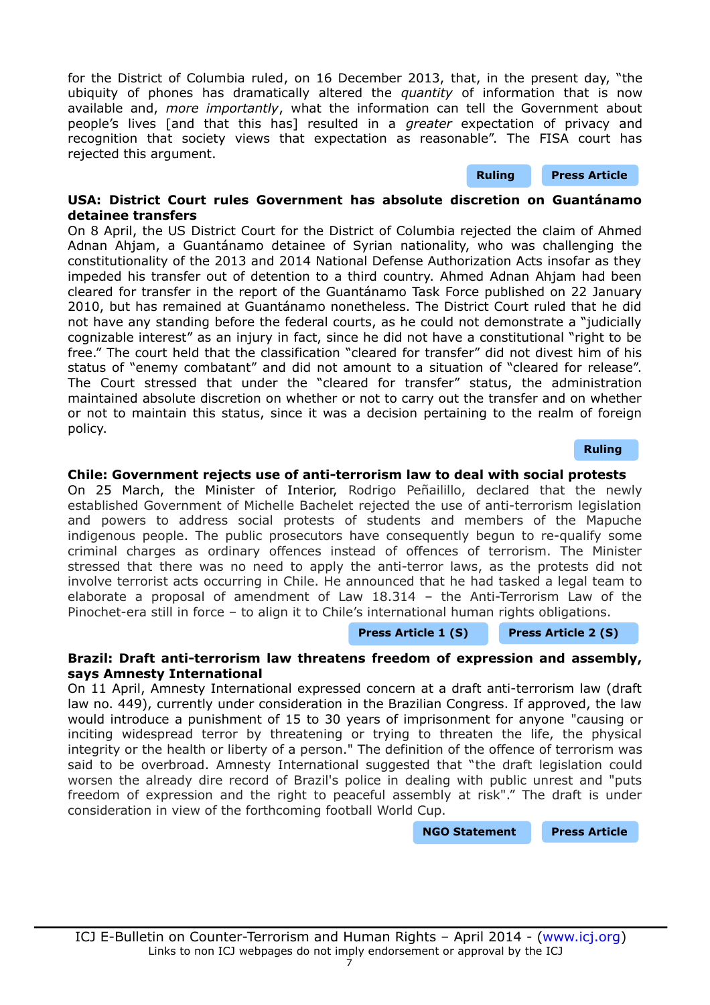for the District of Columbia ruled, on 16 December 2013, that, in the present day, "the ubiquity of phones has dramatically altered the *quantity* of information that is now available and, *more importantly*, what the information can tell the Government about people's lives [and that this has] resulted in a *greater* expectation of privacy and recognition that society views that expectation as reasonable". The FISA court has rejected this argument.

# <span id="page-6-2"></span>**USA: District Court rules Government has absolute discretion on Guantánamo detainee transfers**

On 8 April, the US District Court for the District of Columbia rejected the claim of Ahmed Adnan Ahjam, a Guantánamo detainee of Syrian nationality, who was challenging the constitutionality of the 2013 and 2014 National Defense Authorization Acts insofar as they impeded his transfer out of detention to a third country. Ahmed Adnan Ahjam had been cleared for transfer in the report of the Guantánamo Task Force published on 22 January 2010, but has remained at Guantánamo nonetheless. The District Court ruled that he did not have any standing before the federal courts, as he could not demonstrate a "judicially cognizable interest" as an injury in fact, since he did not have a constitutional "right to be free." The court held that the classification "cleared for transfer" did not divest him of his status of "enemy combatant" and did not amount to a situation of "cleared for release". The Court stressed that under the "cleared for transfer" status, the administration maintained absolute discretion on whether or not to carry out the transfer and on whether or not to maintain this status, since it was a decision pertaining to the realm of foreign policy.

**[Ruling](https://ecf.dcd.uscourts.gov/cgi-bin/show_public_doc?2009cv0745-1813)**

**[Ruling](http://s3.documentcloud.org/documents/1148929/opinion-and-order-in-case.pdf) [Press Article](http://www.nytimes.com/2014/04/26/us/phone-company-bid-to-keep-data-from-nsa-is-rejected.html?_r=0)**

# <span id="page-6-1"></span>**Chile: Government rejects use of anti-terrorism law to deal with social protests**

On 25 March, the Minister of Interior, Rodrigo Peñailillo, declared that the newly established Government of Michelle Bachelet rejected the use of anti-terrorism legislation and powers to address social protests of students and members of the Mapuche indigenous people. The public prosecutors have consequently begun to re-qualify some criminal charges as ordinary offences instead of offences of terrorism. The Minister stressed that there was no need to apply the anti-terror laws, as the protests did not involve terrorist acts occurring in Chile. He announced that he had tasked a legal team to elaborate a proposal of amendment of Law 18.314 – the Anti-Terrorism Law of the Pinochet-era still in force – to align it to Chile's international human rights obligations.

#### **[Press Article 1 \(S\)](http://www.latercera.com/noticia/nacional/2014/04/680-576100-9-gobierno-recalifica-querellas-y-quita-ley-antiterrorista-de-cuatro-casos-en-la.shtml) [Press Article 2 \(S\)](http://revistanorte.com.ar/?p=17280)**

# <span id="page-6-0"></span>**Brazil: Draft anti-terrorism law threatens freedom of expression and assembly, says Amnesty International**

On 11 April, Amnesty International expressed concern at a draft anti-terrorism law (draft law no. 449), currently under consideration in the Brazilian Congress. If approved, the law would introduce a punishment of 15 to 30 years of imprisonment for anyone "causing or inciting widespread terror by threatening or trying to threaten the life, the physical integrity or the health or liberty of a person." The definition of the offence of terrorism was said to be overbroad. Amnesty International suggested that "the draft legislation could worsen the already dire record of Brazil's police in dealing with public unrest and "puts freedom of expression and the right to peaceful assembly at risk"." The draft is under consideration in view of the forthcoming football World Cup.

**[NGO Statement](http://www.amnesty.org/en/for-media/press-releases/brazil-human-rights-under-threat-ahead-world-cup-2014-04-11) [Press Article](http://www.theguardian.com/football/2014/apr/19/world-cup-brazil-anti-terror-law-alarms-human-rights-groups)**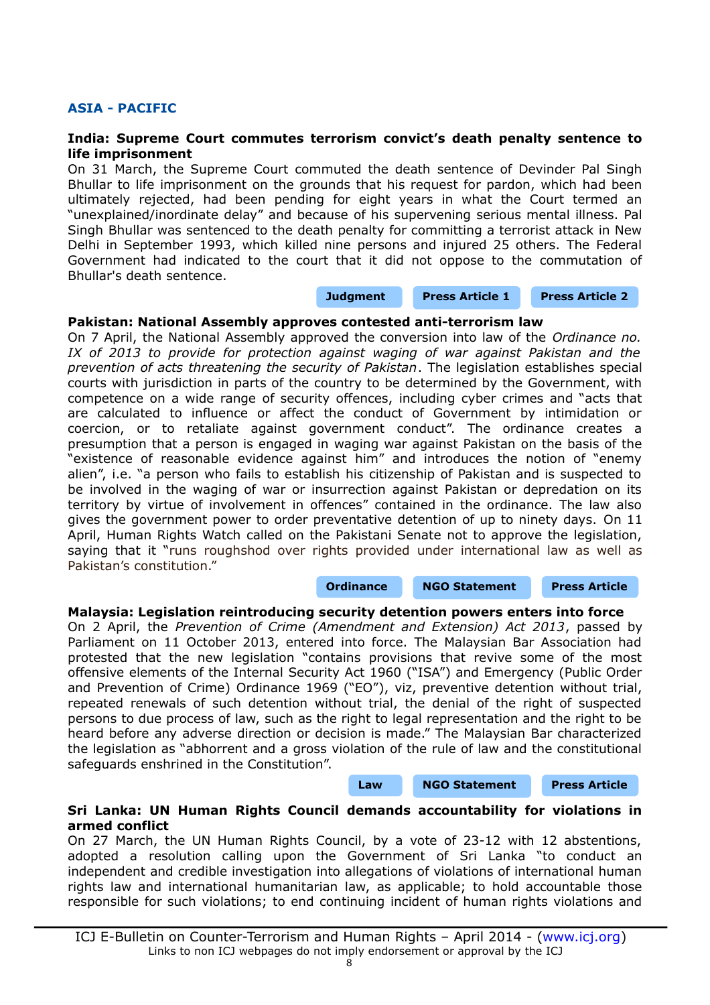# **ASIA - PACIFIC**

### <span id="page-7-3"></span>**India: Supreme Court commutes terrorism convict's death penalty sentence to life imprisonment**

On 31 March, the Supreme Court commuted the death sentence of Devinder Pal Singh Bhullar to life imprisonment on the grounds that his request for pardon, which had been ultimately rejected, had been pending for eight years in what the Court termed an "unexplained/inordinate delay" and because of his supervening serious mental illness. Pal Singh Bhullar was sentenced to the death penalty for committing a terrorist attack in New Delhi in September 1993, which killed nine persons and injured 25 others. The Federal Government had indicated to the court that it did not oppose to the commutation of Bhullar's death sentence.

#### **[Judgment](http://supremecourtofindia.nic.in/outtoday/cur8822013.pdf) [Press Article 1](http://www.bbc.com/news/world-asia-india-26815494) [Press Article 2](http://www.thehindu.com/news/national/centre-favours-commuting-bhullars-death-penalty/article5839257.ece?utm_source=RSS_Feed&utm_medium=RSS&utm_campaign=RSS_Syndication)**

#### <span id="page-7-2"></span>**Pakistan: National Assembly approves contested anti-terrorism law**

On 7 April, the National Assembly approved the conversion into law of the *Ordinance no. IX of 2013 to provide for protection against waging of war against Pakistan and the prevention of acts threatening the security of Pakistan*. The legislation establishes special courts with jurisdiction in parts of the country to be determined by the Government, with competence on a wide range of security offences, including cyber crimes and "acts that are calculated to influence or affect the conduct of Government by intimidation or coercion, or to retaliate against government conduct". The ordinance creates a presumption that a person is engaged in waging war against Pakistan on the basis of the "existence of reasonable evidence against him" and introduces the notion of "enemy alien", i.e. "a person who fails to establish his citizenship of Pakistan and is suspected to be involved in the waging of war or insurrection against Pakistan or depredation on its territory by virtue of involvement in offences" contained in the ordinance. The law also gives the government power to order preventative detention of up to ninety days. On 11 April, Human Rights Watch called on the Pakistani Senate not to approve the legislation, saying that it "runs roughshod over rights provided under international law as well as Pakistan's constitution."

#### **[Ordinance](http://www.na.gov.pk/uploads/documents/1383819468_951.pdf) [NGO Statement](http://www.hrw.org/news/2014/04/11/pakistan-revise-repressive-anti-terrorism-law) [Press Article](http://www.nation.com.pk/islamabad/28-Apr-2014/pml-n-likely-to-get-ppo-thru-senate-with-ppp-help?utm_source=feedburner&utm_medium=feed&utm_campaign=Feed:%20pakistan-news-newspaper-daily-english-online/24hours-news%20(The%20Nation%20:%20Latest%20News)**

#### <span id="page-7-1"></span>**Malaysia: Legislation reintroducing security detention powers enters into force**

On 2 April, the *Prevention of Crime (Amendment and Extension) Act 2013*, passed by Parliament on 11 October 2013, entered into force. The Malaysian Bar Association had protested that the new legislation "contains provisions that revive some of the most offensive elements of the Internal Security Act 1960 ("ISA") and Emergency (Public Order and Prevention of Crime) Ordinance 1969 ("EO"), viz, preventive detention without trial, repeated renewals of such detention without trial, the denial of the right of suspected persons to due process of law, such as the right to legal representation and the right to be heard before any adverse direction or decision is made." The Malaysian Bar characterized the legislation as "abhorrent and a gross violation of the rule of law and the constitutional safeguards enshrined in the Constitution".

#### **[Law](http://www.vertic.org/media/National%20Legislation/Malaysia/MY_Prevention_Crime_Act.pdf) [NGO Statement](http://www.malaysianbar.org.my/press_statements/press_release_amendments_to_the_prevention_of_crime_act_1959_are_regressive_and_a_blow_to_the_rule_of_law_in_malaysia.html) [Press Article](http://www.malaysianbar.org.my/legal/general_news/amended_prevention_of_crime_act_to_come_into_effect_on_wednesday.html)**

#### <span id="page-7-0"></span>**Sri Lanka: UN Human Rights Council demands accountability for violations in armed conflict**

On 27 March, the UN Human Rights Council, by a vote of 23-12 with 12 abstentions, adopted a resolution calling upon the Government of Sri Lanka "to conduct an independent and credible investigation into allegations of violations of international human rights law and international humanitarian law, as applicable; to hold accountable those responsible for such violations; to end continuing incident of human rights violations and

ICJ E-Bulletin on Counter-Terrorism and Human Rights – April 2014 - [\(www.icj.org\)](http://www.icj.org/) Links to non ICJ webpages do not imply endorsement or approval by the ICJ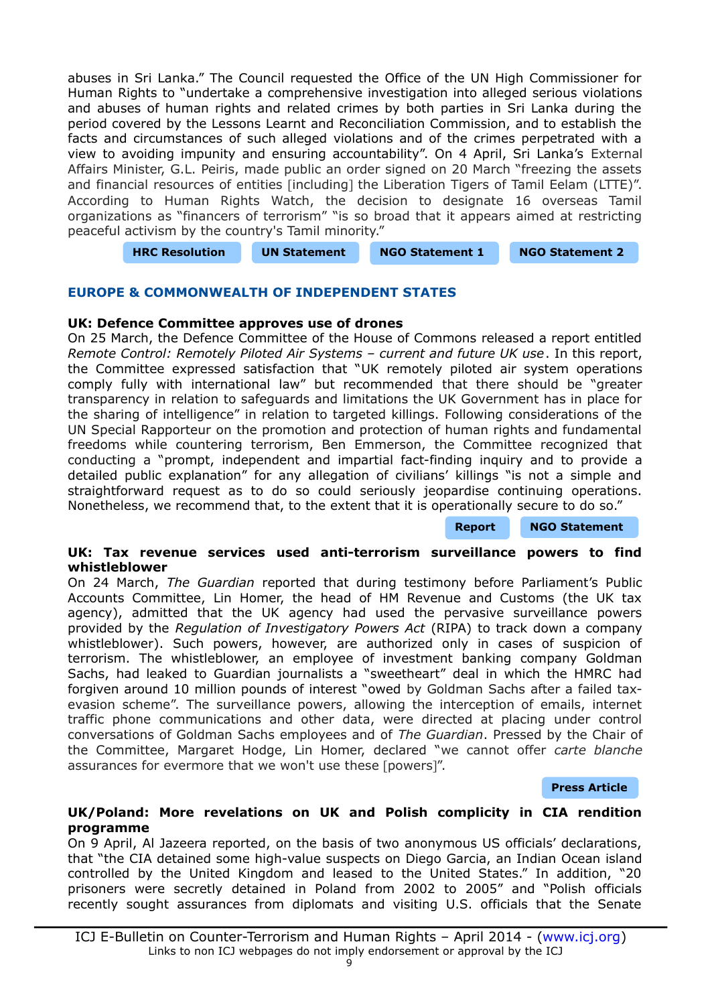abuses in Sri Lanka." The Council requested the Office of the UN High Commissioner for Human Rights to "undertake a comprehensive investigation into alleged serious violations and abuses of human rights and related crimes by both parties in Sri Lanka during the period covered by the Lessons Learnt and Reconciliation Commission, and to establish the facts and circumstances of such alleged violations and of the crimes perpetrated with a view to avoiding impunity and ensuring accountability". On 4 April, Sri Lanka's External Affairs Minister, G.L. Peiris, made public an order signed on 20 March "freezing the assets and financial resources of entities [including] the Liberation Tigers of Tamil Eelam (LTTE)". According to Human Rights Watch, the decision to designate 16 overseas Tamil organizations as "financers of terrorism" "is so broad that it appears aimed at restricting peaceful activism by the country's Tamil minority."

**[HRC Resolution](http://www.un.org/ga/search/view_doc.asp?symbol=A/HRC/25/L.1/Rev.1) [UN Statement](http://www.ohchr.org/EN/NewsEvents/Pages/DisplayNews.aspx?NewsID=14447&LangID=E) [NGO Statement 1](http://www.hrw.org/news/2014/03/26/un-rights-council-crucial-vote-sri-lanka-inquiry) [NGO Statement 2](http://www.hrw.org/news/2014/04/07/sri-lanka-asset-freeze-threatens-peaceful-dissent)**

# **EUROPE & COMMONWEALTH OF INDEPENDENT STATES**

#### <span id="page-8-2"></span>**UK: Defence Committee approves use of drones**

On 25 March, the Defence Committee of the House of Commons released a report entitled *Remote Control: Remotely Piloted Air Systems – current and future UK use*. In this report, the Committee expressed satisfaction that "UK remotely piloted air system operations comply fully with international law" but recommended that there should be "greater transparency in relation to safeguards and limitations the UK Government has in place for the sharing of intelligence" in relation to targeted killings. Following considerations of the UN Special Rapporteur on the promotion and protection of human rights and fundamental freedoms while countering terrorism, Ben Emmerson, the Committee recognized that conducting a "prompt, independent and impartial fact-finding inquiry and to provide a detailed public explanation" for any allegation of civilians' killings "is not a simple and straightforward request as to do so could seriously jeopardise continuing operations. Nonetheless, we recommend that, to the extent that it is operationally secure to do so."

#### **[Report](http://www.publications.parliament.uk/pa/cm201314/cmselect/cmdfence/772/772.pdf) [NGO Statement](http://www.commondreams.org/newswire/2014/03/25)**

#### <span id="page-8-1"></span>**UK: Tax revenue services used anti-terrorism surveillance powers to find whistleblower**

On 24 March, *The Guardian* reported that during testimony before Parliament's Public Accounts Committee, Lin Homer, the head of HM Revenue and Customs (the UK tax agency), admitted that the UK agency had used the pervasive surveillance powers provided by the *Regulation of Investigatory Powers Act* (RIPA) to track down a company whistleblower). Such powers, however, are authorized only in cases of suspicion of terrorism. The whistleblower, an employee of investment banking company Goldman Sachs, had leaked to Guardian journalists a "sweetheart" deal in which the HMRC had forgiven around 10 million pounds of interest "owed by Goldman Sachs after a failed taxevasion scheme". The surveillance powers, allowing the interception of emails, internet traffic phone communications and other data, were directed at placing under control conversations of Goldman Sachs employees and of *The Guardian*. Pressed by the Chair of the Committee, Margaret Hodge, Lin Homer, declared "we cannot offer *carte blanche* assurances for evermore that we won't use these [powers]".

#### **[Press Article](http://www.theguardian.com/politics/2014/mar/24/hmrc-criticised-mps-terror-law-tax-whistleblower-hodge)**

#### <span id="page-8-0"></span>**UK/Poland: More revelations on UK and Polish complicity in CIA rendition programme**

On 9 April, Al Jazeera reported, on the basis of two anonymous US officials' declarations, that "the CIA detained some high-value suspects on Diego Garcia, an Indian Ocean island controlled by the United Kingdom and leased to the United States." In addition, "20 prisoners were secretly detained in Poland from 2002 to 2005" and "Polish officials recently sought assurances from diplomats and visiting U.S. officials that the Senate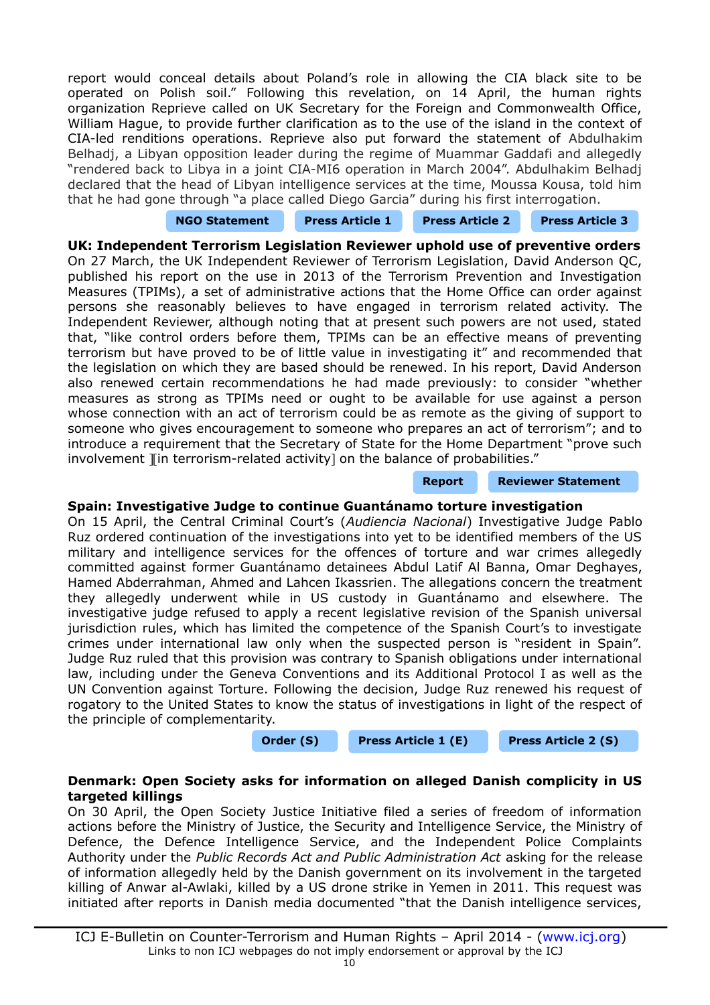report would conceal details about Poland's role in allowing the CIA black site to be operated on Polish soil." Following this revelation, on 14 April, the human rights organization Reprieve called on UK Secretary for the Foreign and Commonwealth Office, William Hague, to provide further clarification as to the use of the island in the context of CIA-led renditions operations. Reprieve also put forward the statement of Abdulhakim Belhadj, a Libyan opposition leader during the regime of Muammar Gaddafi and allegedly "rendered back to Libya in a joint CIA-MI6 operation in March 2004". Abdulhakim Belhadj declared that the head of Libyan intelligence services at the time, Moussa Kousa, told him that he had gone through "a place called Diego Garcia" during his first interrogation.

| <b>NGO Statement</b> | <b>Press Article 1</b> | <b>Press Article 2</b> | <b>Press Article 3</b> |
|----------------------|------------------------|------------------------|------------------------|
|                      |                        |                        |                        |

<span id="page-9-2"></span>**UK: Independent Terrorism Legislation Reviewer uphold use of preventive orders** On 27 March, the UK Independent Reviewer of Terrorism Legislation, David Anderson QC, published his report on the use in 2013 of the Terrorism Prevention and Investigation Measures (TPIMs), a set of administrative actions that the Home Office can order against persons she reasonably believes to have engaged in terrorism related activity. The Independent Reviewer, although noting that at present such powers are not used, stated that, "like control orders before them, TPIMs can be an effective means of preventing terrorism but have proved to be of little value in investigating it" and recommended that the legislation on which they are based should be renewed. In his report, David Anderson also renewed certain recommendations he had made previously: to consider "whether measures as strong as TPIMs need or ought to be available for use against a person whose connection with an act of terrorism could be as remote as the giving of support to someone who gives encouragement to someone who prepares an act of terrorism"; and to introduce a requirement that the Secretary of State for the Home Department "prove such involvement I in terrorism-related activity] on the balance of probabilities."

## **[Report](https://www.gov.uk/government/uploads/system/uploads/attachment_data/file/298487/Un_Act_Independent_Review_print_ready.pdf) [Reviewer Statement](https://terrorismlegislationreviewer.independent.gov.uk/2014-tpims-report/#more-2057)**

# <span id="page-9-1"></span>**Spain: Investigative Judge to continue Guantánamo torture investigation**

On 15 April, the Central Criminal Court's (*Audiencia Nacional*) Investigative Judge Pablo Ruz ordered continuation of the investigations into yet to be identified members of the US military and intelligence services for the offences of torture and war crimes allegedly committed against former Guantánamo detainees Abdul Latif Al Banna, Omar Deghayes, Hamed Abderrahman, Ahmed and Lahcen Ikassrien. The allegations concern the treatment they allegedly underwent while in US custody in Guantánamo and elsewhere. The investigative judge refused to apply a recent legislative revision of the Spanish universal jurisdiction rules, which has limited the competence of the Spanish Court's to investigate crimes under international law only when the suspected person is "resident in Spain". Judge Ruz ruled that this provision was contrary to Spanish obligations under international law, including under the Geneva Conventions and its Additional Protocol I as well as the UN Convention against Torture. Following the decision, Judge Ruz renewed his request of rogatory to the United States to know the status of investigations in light of the respect of the principle of complementarity.

**[Order \(S\)](http://www.ccrjustice.org/files/Court%205%20Decision%2015.04.14.pdf) [Press Article 1 \(E\)](http://news.yahoo.com/spain-judge-defies-pressure-scrap-guantanamo-case-181407803.html) [Press Article 2 \(S\)](http://politica.elpais.com/politica/2014/04/15/actualidad/1397564481_086033.html)**

# <span id="page-9-0"></span>**Denmark: Open Society asks for information on alleged Danish complicity in US targeted killings**

On 30 April, the Open Society Justice Initiative filed a series of freedom of information actions before the Ministry of Justice, the Security and Intelligence Service, the Ministry of Defence, the Defence Intelligence Service, and the Independent Police Complaints Authority under the *Public Records Act and Public Administration Act* asking for the release of information allegedly held by the Danish government on its involvement in the targeted killing of Anwar al-Awlaki, killed by a US drone strike in Yemen in 2011. This request was initiated after reports in Danish media documented "that the Danish intelligence services,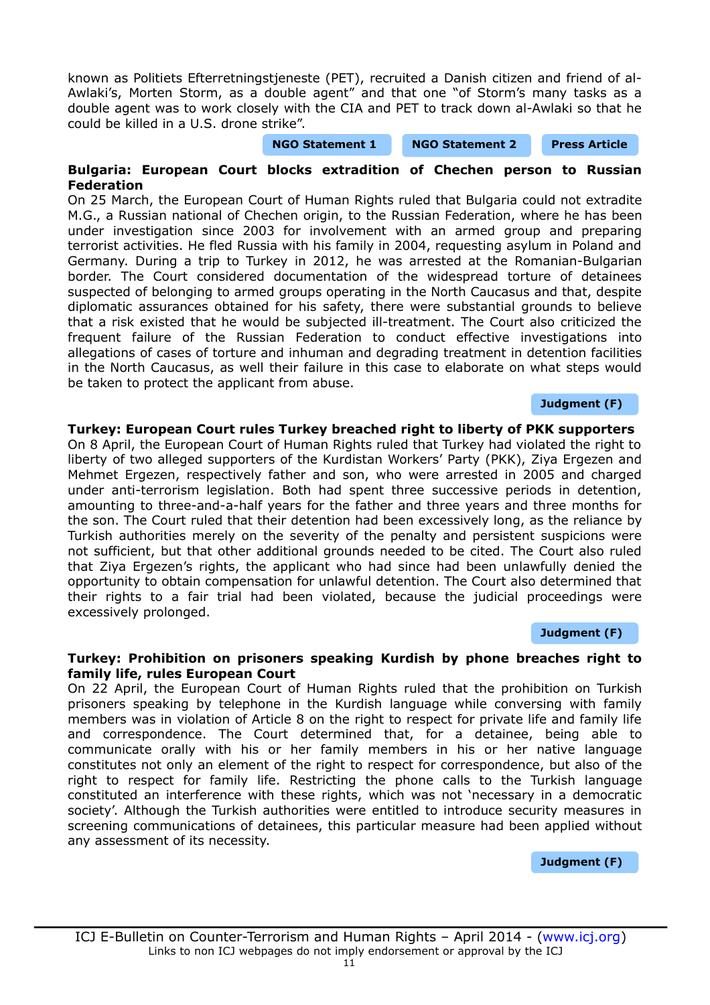M.G., a Russian national of Chechen origin, to the Russian Federation, where he has been under investigation since 2003 for involvement with an armed group and preparing terrorist activities. He fled Russia with his family in 2004, requesting asylum in Poland and

Germany. During a trip to Turkey in 2012, he was arrested at the Romanian-Bulgarian border. The Court considered documentation of the widespread torture of detainees suspected of belonging to armed groups operating in the North Caucasus and that, despite diplomatic assurances obtained for his safety, there were substantial grounds to believe that a risk existed that he would be subjected ill-treatment. The Court also criticized the frequent failure of the Russian Federation to conduct effective investigations into allegations of cases of torture and inhuman and degrading treatment in detention facilities in the North Caucasus, as well their failure in this case to elaborate on what steps would be taken to protect the applicant from abuse.

## **[Judgment \(F\)](http://hudoc.echr.coe.int/sites/eng/pages/search.aspx?i=001-142125)**

#### <span id="page-10-1"></span>**Turkey: European Court rules Turkey breached right to liberty of PKK supporters**

On 8 April, the European Court of Human Rights ruled that Turkey had violated the right to liberty of two alleged supporters of the Kurdistan Workers' Party (PKK), Ziya Ergezen and Mehmet Ergezen, respectively father and son, who were arrested in 2005 and charged under anti-terrorism legislation. Both had spent three successive periods in detention, amounting to three-and-a-half years for the father and three years and three months for the son. The Court ruled that their detention had been excessively long, as the reliance by Turkish authorities merely on the severity of the penalty and persistent suspicions were not sufficient, but that other additional grounds needed to be cited. The Court also ruled that Ziya Ergezen's rights, the applicant who had since had been unlawfully denied the opportunity to obtain compensation for unlawful detention. The Court also determined that their rights to a fair trial had been violated, because the judicial proceedings were excessively prolonged.

#### **[Judgment \(F\)](http://hudoc.echr.coe.int/sites/eng/pages/search.aspx?i=001-142195)**

#### <span id="page-10-0"></span>**Turkey: Prohibition on prisoners speaking Kurdish by phone breaches right to family life, rules European Court**

On 22 April, the European Court of Human Rights ruled that the prohibition on Turkish prisoners speaking by telephone in the Kurdish language while conversing with family members was in violation of Article 8 on the right to respect for private life and family life and correspondence. The Court determined that, for a detainee, being able to communicate orally with his or her family members in his or her native language constitutes not only an element of the right to respect for correspondence, but also of the right to respect for family life. Restricting the phone calls to the Turkish language constituted an interference with these rights, which was not 'necessary in a democratic society'. Although the Turkish authorities were entitled to introduce security measures in screening communications of detainees, this particular measure had been applied without any assessment of its necessity.

**[Judgment \(F\)](http://hudoc.echr.coe.int/sites/eng/pages/search.aspx?i=001-142461)**

# known as Politiets Efterretningstjeneste (PET), recruited a Danish citizen and friend of al-Awlaki's, Morten Storm, as a double agent" and that one "of Storm's many tasks as a double agent was to work closely with the CIA and PET to track down al-Awlaki so that he could be killed in a U.S. drone strike".

<span id="page-10-2"></span>**Bulgaria: European Court blocks extradition of Chechen person to Russian**

On 25 March, the European Court of Human Rights ruled that Bulgaria could not extradite

#### **[NGO Statement 1](http://www.opensocietyfoundations.org/voices/denmark-cia-and-killing-anwar-al-awlaki) [NGO Statement 2](http://www.opensocietyfoundations.org/press-releases/time-denmark-acknowledge-its-role-cias-al-awlaki-killing) [Press Article](http://jyllands-posten.dk/indland/ECE6684091/renewed-focus-on-denmark-s-role-in-the-killing-of-terrorist-leader-anwar-al-awlaki/)**

**Federation**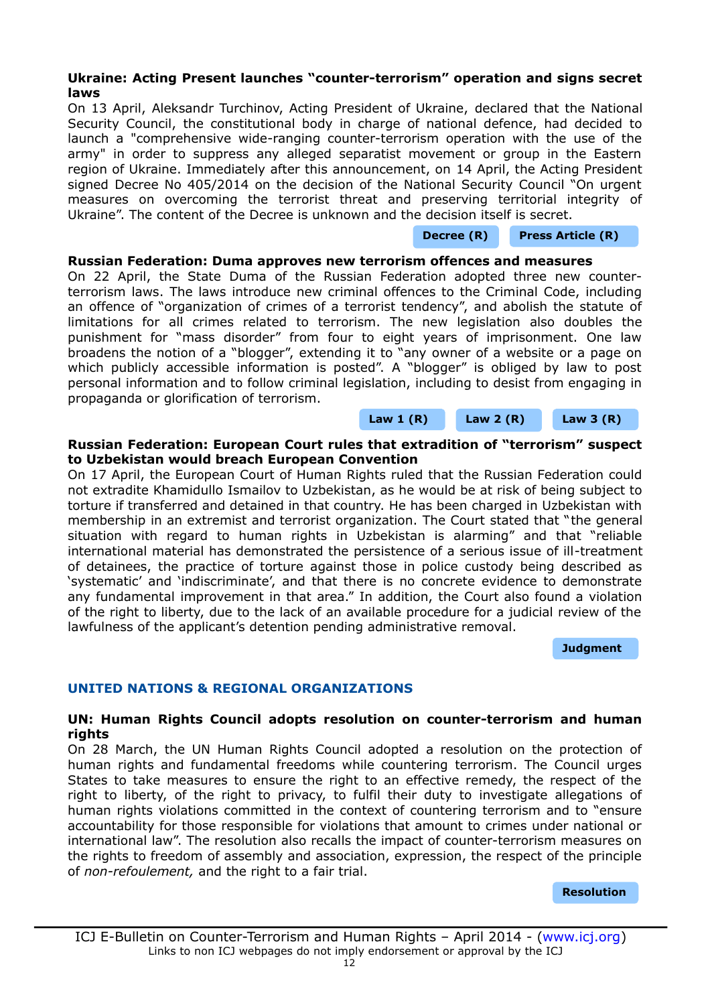# <span id="page-11-3"></span>**Ukraine: Acting Present launches "counter-terrorism" operation and signs secret laws**

On 13 April, Aleksandr Turchinov, Acting President of Ukraine, declared that the National Security Council, the constitutional body in charge of national defence, had decided to launch a "comprehensive wide-ranging counter-terrorism operation with the use of the army" in order to suppress any alleged separatist movement or group in the Eastern region of Ukraine. Immediately after this announcement, on 14 April, the Acting President signed Decree No 405/2014 on the decision of the National Security Council "On urgent measures on overcoming the terrorist threat and preserving territorial integrity of Ukraine". The content of the Decree is unknown and the decision itself is secret.

#### **[Decree \(R\)](http://www.president.gov.ua/documents/17317.html) [Press Article \(R\)](http://gazeta.ua/ru/articles/politics/_turchinov-podpisal-ukaz-o-nachale-antiterroristicheskoj-operacii-s-uchastiem-vsu/552548)**

## <span id="page-11-2"></span>**Russian Federation: Duma approves new terrorism offences and measures**

On 22 April, the State Duma of the Russian Federation adopted three new counterterrorism laws. The laws introduce new criminal offences to the Criminal Code, including an offence of "organization of crimes of a terrorist tendency", and abolish the statute of limitations for all crimes related to terrorism. The new legislation also doubles the punishment for "mass disorder" from four to eight years of imprisonment. One law broadens the notion of a "blogger", extending it to "any owner of a website or a page on which publicly accessible information is posted". A "blogger" is obliged by law to post personal information and to follow criminal legislation, including to desist from engaging in propaganda or glorification of terrorism.

**[Law 1 \(R\)](http://asozd2.duma.gov.ru/main.nsf/(Spravka)?OpenAgent&RN=428896-6&02) [Law 2 \(R\)](http://asozd2.duma.gov.ru/main.nsf/(Spravka)?OpenAgent&RN=428884-6&02) [Law 3 \(R\)](http://asozd2.duma.gov.ru/main.nsf/(Spravka)?OpenAgent&RN=428889-6&02)**

#### <span id="page-11-1"></span>**Russian Federation: European Court rules that extradition of "terrorism" suspect to Uzbekistan would breach European Convention**

On 17 April, the European Court of Human Rights ruled that the Russian Federation could not extradite Khamidullo Ismailov to Uzbekistan, as he would be at risk of being subject to torture if transferred and detained in that country. He has been charged in Uzbekistan with membership in an extremist and terrorist organization. The Court stated that "the general situation with regard to human rights in Uzbekistan is alarming" and that "reliable international material has demonstrated the persistence of a serious issue of ill-treatment of detainees, the practice of torture against those in police custody being described as 'systematic' and 'indiscriminate', and that there is no concrete evidence to demonstrate any fundamental improvement in that area." In addition, the Court also found a violation of the right to liberty, due to the lack of an available procedure for a judicial review of the lawfulness of the applicant's detention pending administrative removal.

**[Judgment](http://hudoc.echr.coe.int/sites/eng/pages/search.aspx?i=001-142429)**

# **UNITED NATIONS & REGIONAL ORGANIZATIONS**

## <span id="page-11-0"></span>**UN: Human Rights Council adopts resolution on counter-terrorism and human rights**

On 28 March, the UN Human Rights Council adopted a resolution on the protection of human rights and fundamental freedoms while countering terrorism. The Council urges States to take measures to ensure the right to an effective remedy, the respect of the right to liberty, of the right to privacy, to fulfil their duty to investigate allegations of human rights violations committed in the context of countering terrorism and to "ensure accountability for those responsible for violations that amount to crimes under national or international law". The resolution also recalls the impact of counter-terrorism measures on the rights to freedom of assembly and association, expression, the respect of the principle of *non-refoulement,* and the right to a fair trial.

**[Resolution](http://www.un.org/ga/search/view_doc.asp?symbol=A/HRC/25/L.11)**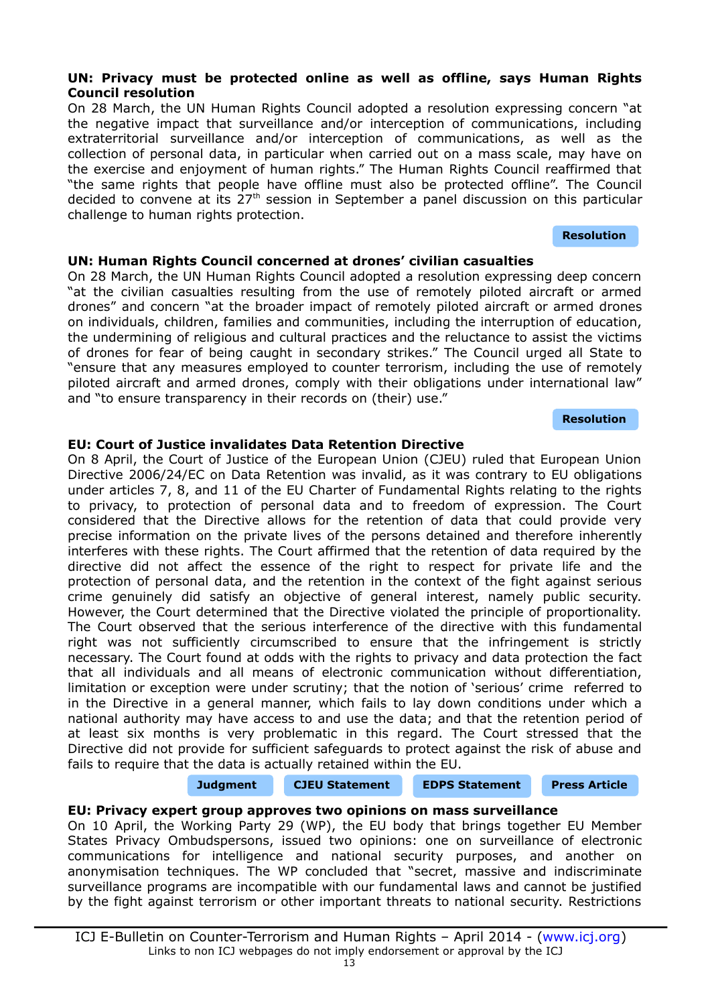# ICJ E-Bulletin on Counter-Terrorism and Human Rights – April 2014 - [\(www.icj.org\)](http://www.icj.org/) Links to non ICJ webpages do not imply endorsement or approval by the ICJ

# <span id="page-12-3"></span>**UN: Privacy must be protected online as well as offline, says Human Rights Council resolution**

On 28 March, the UN Human Rights Council adopted a resolution expressing concern "at the negative impact that surveillance and/or interception of communications, including extraterritorial surveillance and/or interception of communications, as well as the collection of personal data, in particular when carried out on a mass scale, may have on the exercise and enjoyment of human rights." The Human Rights Council reaffirmed that "the same rights that people have offline must also be protected offline". The Council decided to convene at its  $27<sup>th</sup>$  session in September a panel discussion on this particular challenge to human rights protection.

# <span id="page-12-2"></span>**UN: Human Rights Council concerned at drones' civilian casualties**

On 28 March, the UN Human Rights Council adopted a resolution expressing deep concern "at the civilian casualties resulting from the use of remotely piloted aircraft or armed drones" and concern "at the broader impact of remotely piloted aircraft or armed drones on individuals, children, families and communities, including the interruption of education, the undermining of religious and cultural practices and the reluctance to assist the victims of drones for fear of being caught in secondary strikes." The Council urged all State to "ensure that any measures employed to counter terrorism, including the use of remotely piloted aircraft and armed drones, comply with their obligations under international law" and "to ensure transparency in their records on (their) use."

**[Resolution](http://www.un.org/ga/search/view_doc.asp?symbol=A/HRC/25/L.32)**

**[Resolution](http://www.un.org/ga/search/view_doc.asp?symbol=A/HRC/25/L.12)**

# <span id="page-12-1"></span>**EU: Court of Justice invalidates Data Retention Directive**

On 8 April, the Court of Justice of the European Union (CJEU) ruled that European Union Directive 2006/24/EC on Data Retention was invalid, as it was contrary to EU obligations under articles 7, 8, and 11 of the EU Charter of Fundamental Rights relating to the rights to privacy, to protection of personal data and to freedom of expression. The Court considered that the Directive allows for the retention of data that could provide very precise information on the private lives of the persons detained and therefore inherently interferes with these rights. The Court affirmed that the retention of data required by the directive did not affect the essence of the right to respect for private life and the protection of personal data, and the retention in the context of the fight against serious crime genuinely did satisfy an objective of general interest, namely public security. However, the Court determined that the Directive violated the principle of proportionality. The Court observed that the serious interference of the directive with this fundamental right was not sufficiently circumscribed to ensure that the infringement is strictly necessary. The Court found at odds with the rights to privacy and data protection the fact that all individuals and all means of electronic communication without differentiation, limitation or exception were under scrutiny; that the notion of 'serious' crime referred to in the Directive in a general manner, which fails to lay down conditions under which a national authority may have access to and use the data; and that the retention period of at least six months is very problematic in this regard. The Court stressed that the Directive did not provide for sufficient safeguards to protect against the risk of abuse and fails to require that the data is actually retained within the EU.

# <span id="page-12-0"></span>**EU: Privacy expert group approves two opinions on mass surveillance**

On 10 April, the Working Party 29 (WP), the EU body that brings together EU Member States Privacy Ombudspersons, issued two opinions: one on surveillance of electronic communications for intelligence and national security purposes, and another on anonymisation techniques. The WP concluded that "secret, massive and indiscriminate surveillance programs are incompatible with our fundamental laws and cannot be justified by the fight against terrorism or other important threats to national security. Restrictions

# **[Judgment](http://curia.europa.eu/juris/document/document.jsf?text=&docid=150642&pageIndex=0&doclang=en&mode=req&dir=&occ=first&part=1&cid=313923) [CJEU Statement](http://curia.europa.eu/jcms/upload/docs/application/pdf/2014-04/cp140054en.pdf) [EDPS Statement](http://www.statewatch.org/news/2014/apr/eu-ecj-mand-ret-edps-statement.pdf) [Press Article](http://www.pcworld.com/article/2142240/swedish-isp-deletes-all-retained-customer-data-in-wake-of-eu-court-ruling.html)**

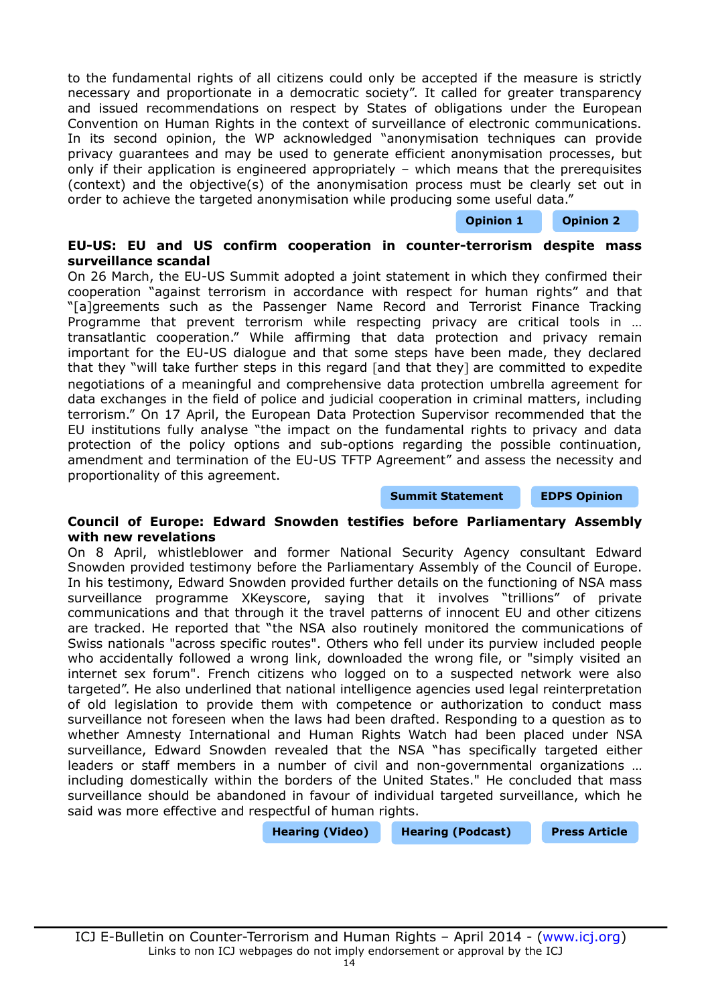to the fundamental rights of all citizens could only be accepted if the measure is strictly necessary and proportionate in a democratic society". It called for greater transparency and issued recommendations on respect by States of obligations under the European Convention on Human Rights in the context of surveillance of electronic communications. In its second opinion, the WP acknowledged "anonymisation techniques can provide privacy guarantees and may be used to generate efficient anonymisation processes, but only if their application is engineered appropriately – which means that the prerequisites (context) and the objective(s) of the anonymisation process must be clearly set out in order to achieve the targeted anonymisation while producing some useful data."

**[Opinion 1](http://www.statewatch.org/news/2014/apr/eu-art-29-dp-wp-215.pdf) [Opinion 2](http://www.statewatch.org/news/2014/apr/eu-art-29-dp-wp-216.pdf)**

## <span id="page-13-1"></span>**EU-US: EU and US confirm cooperation in counter-terrorism despite mass surveillance scandal**

On 26 March, the EU-US Summit adopted a joint statement in which they confirmed their cooperation "against terrorism in accordance with respect for human rights" and that "[a]greements such as the Passenger Name Record and Terrorist Finance Tracking Programme that prevent terrorism while respecting privacy are critical tools in ... transatlantic cooperation." While affirming that data protection and privacy remain important for the EU-US dialogue and that some steps have been made, they declared that they "will take further steps in this regard [and that they] are committed to expedite negotiations of a meaningful and comprehensive data protection umbrella agreement for data exchanges in the field of police and judicial cooperation in criminal matters, including terrorism." On 17 April, the European Data Protection Supervisor recommended that the EU institutions fully analyse "the impact on the fundamental rights to privacy and data protection of the policy options and sub-options regarding the possible continuation, amendment and termination of the EU-US TFTP Agreement" and assess the necessity and proportionality of this agreement.

#### **[Summit Statement](http://www.consilium.europa.eu/uedocs/cms_data/docs/pressdata/en/ec/141920.pdf) [EDPS Opinion](http://www.statewatch.org/news/2014/apr/eu-edps-tfts.pdf)**

#### <span id="page-13-0"></span>**Council of Europe: Edward Snowden testifies before Parliamentary Assembly with new revelations**

On 8 April, whistleblower and former National Security Agency consultant Edward Snowden provided testimony before the Parliamentary Assembly of the Council of Europe. In his testimony, Edward Snowden provided further details on the functioning of NSA mass surveillance programme XKeyscore, saying that it involves "trillions" of private communications and that through it the travel patterns of innocent EU and other citizens are tracked. He reported that "the NSA also routinely monitored the communications of Swiss nationals "across specific routes". Others who fell under its purview included people who accidentally followed a wrong link, downloaded the wrong file, or "simply visited an internet sex forum". French citizens who logged on to a suspected network were also targeted". He also underlined that national intelligence agencies used legal reinterpretation of old legislation to provide them with competence or authorization to conduct mass surveillance not foreseen when the laws had been drafted. Responding to a question as to whether Amnesty International and Human Rights Watch had been placed under NSA surveillance, Edward Snowden revealed that the NSA "has specifically targeted either leaders or staff members in a number of civil and non-governmental organizations … including domestically within the borders of the United States." He concluded that mass surveillance should be abandoned in favour of individual targeted surveillance, which he said was more effective and respectful of human rights.

**[Hearing \(Video\)](https://www.youtube.com/watch?v=3f8Lunf1a2w) [Hearing \(Podcast\)](http://www.humanrightseurope.org/2014/04/podcast-edward-snowdens-testimony-to-parliamentary-assembly-hearing/?utm_source=twitterfeed&utm_medium=twitter) [Press Article](http://www.theguardian.com/world/2014/apr/08/edwards-snowden-us-government-spied-human-rights-workers/print)**